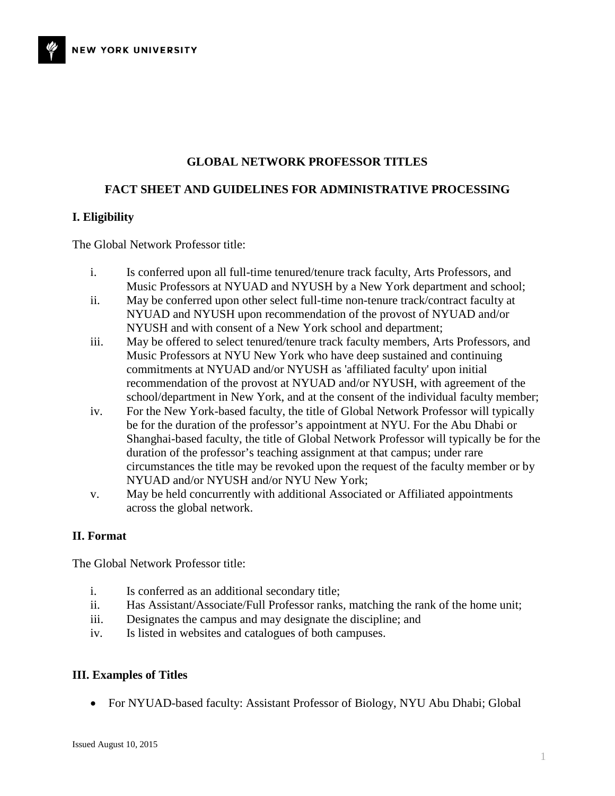### **GLOBAL NETWORK PROFESSOR TITLES**

#### **FACT SHEET AND GUIDELINES FOR ADMINISTRATIVE PROCESSING**

#### **I. Eligibility**

The Global Network Professor title:

- i. Is conferred upon all full-time tenured/tenure track faculty, Arts Professors, and Music Professors at NYUAD and NYUSH by a New York department and school;
- ii. May be conferred upon other select full-time non-tenure track/contract faculty at NYUAD and NYUSH upon recommendation of the provost of NYUAD and/or NYUSH and with consent of a New York school and department;
- iii. May be offered to select tenured/tenure track faculty members, Arts Professors, and Music Professors at NYU New York who have deep sustained and continuing commitments at NYUAD and/or NYUSH as 'affiliated faculty' upon initial recommendation of the provost at NYUAD and/or NYUSH, with agreement of the school/department in New York, and at the consent of the individual faculty member;
- iv. For the New York-based faculty, the title of Global Network Professor will typically be for the duration of the professor's appointment at NYU. For the Abu Dhabi or Shanghai-based faculty, the title of Global Network Professor will typically be for the duration of the professor's teaching assignment at that campus; under rare circumstances the title may be revoked upon the request of the faculty member or by NYUAD and/or NYUSH and/or NYU New York;
- v. May be held concurrently with additional Associated or Affiliated appointments across the global network.

#### **II. Format**

The Global Network Professor title:

- i. Is conferred as an additional secondary title;
- ii. Has Assistant/Associate/Full Professor ranks, matching the rank of the home unit;
- iii. Designates the campus and may designate the discipline; and
- iv. Is listed in websites and catalogues of both campuses.

#### **III. Examples of Titles**

• For NYUAD-based faculty: Assistant Professor of Biology, NYU Abu Dhabi; Global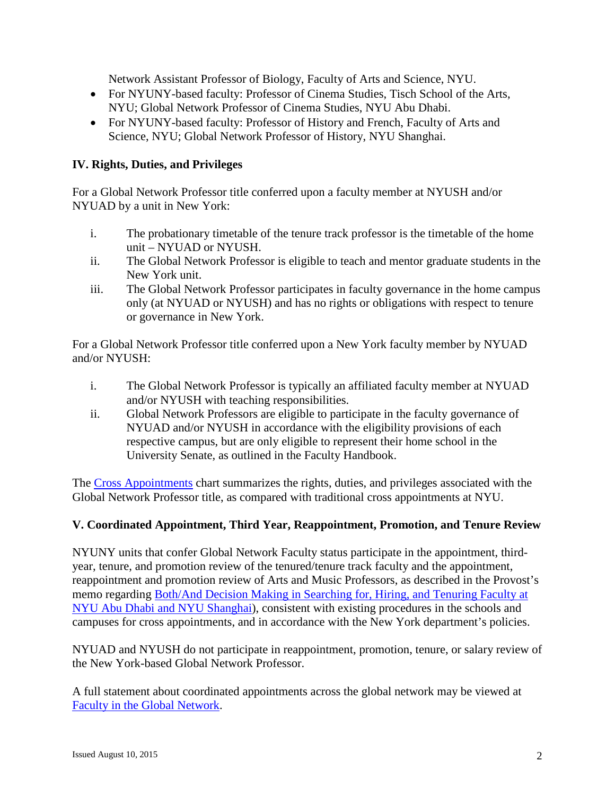Network Assistant Professor of Biology, Faculty of Arts and Science, NYU.

- For NYUNY-based faculty: Professor of Cinema Studies, Tisch School of the Arts, NYU; Global Network Professor of Cinema Studies, NYU Abu Dhabi.
- For NYUNY-based faculty: Professor of History and French, Faculty of Arts and Science, NYU; Global Network Professor of History, NYU Shanghai.

# **IV. Rights, Duties, and Privileges**

For a Global Network Professor title conferred upon a faculty member at NYUSH and/or NYUAD by a unit in New York:

- i. The probationary timetable of the tenure track professor is the timetable of the home unit – NYUAD or NYUSH.
- ii. The Global Network Professor is eligible to teach and mentor graduate students in the New York unit.
- iii. The Global Network Professor participates in faculty governance in the home campus only (at NYUAD or NYUSH) and has no rights or obligations with respect to tenure or governance in New York.

For a Global Network Professor title conferred upon a New York faculty member by NYUAD and/or NYUSH:

- i. The Global Network Professor is typically an affiliated faculty member at NYUAD and/or NYUSH with teaching responsibilities.
- ii. Global Network Professors are eligible to participate in the faculty governance of NYUAD and/or NYUSH in accordance with the eligibility provisions of each respective campus, but are only eligible to represent their home school in the University Senate, as outlined in the Faculty Handbook.

The Cross [Appointments](http://www.nyu.edu/content/dam/nyu/provost/documents/faculty-global-network/CrossAppointmentswithGNF14July2015.pdf) chart summarizes the rights, duties, and privileges associated with the Global Network Professor title, as compared with traditional cross appointments at NYU.

## **V. Coordinated Appointment, Third Year, Reappointment, Promotion, and Tenure Review**

NYUNY units that confer Global Network Faculty status participate in the appointment, thirdyear, tenure, and promotion review of the tenured/tenure track faculty and the appointment, reappointment and promotion review of Arts and Music Professors, as described in the Provost's memo regarding [Both/And Decision Making in Searching for, Hiring, and Tenuring Faculty at](http://www.nyu.edu/content/dam/nyu/provost/documents/faculty-global-network/BothAndJuly2015.pdf)  [NYU Abu Dhabi and NYU Shanghai\)](http://www.nyu.edu/content/dam/nyu/provost/documents/faculty-global-network/BothAndJuly2015.pdf), consistent with existing procedures in the schools and campuses for cross appointments, and in accordance with the New York department's policies.

NYUAD and NYUSH do not participate in reappointment, promotion, tenure, or salary review of the New York-based Global Network Professor.

A full statement about coordinated appointments across the global network may be viewed at [Faculty in the Global Network.](http://www.nyu.edu/content/nyu/en/faculty/faculty-in-the-global-network/coordinated-faculty-hiring.html)